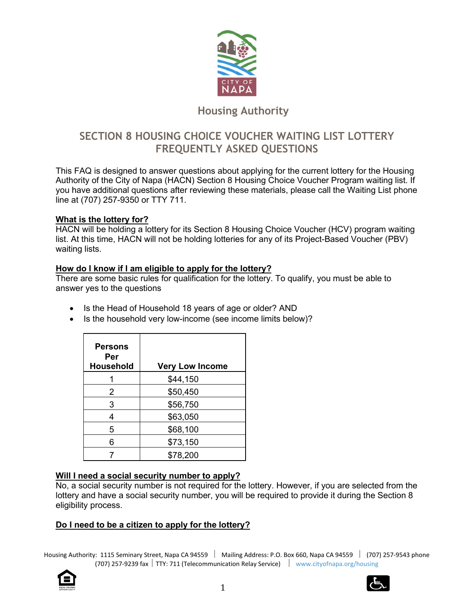

# **Housing Authority**

# **SECTION 8 HOUSING CHOICE VOUCHER WAITING LIST LOTTERY FREQUENTLY ASKED QUESTIONS**

This FAQ is designed to answer questions about applying for the current lottery for the Housing Authority of the City of Napa (HACN) Section 8 Housing Choice Voucher Program waiting list. If you have additional questions after reviewing these materials, please call the Waiting List phone line at (707) 257-9350 or TTY 711.

## **What is the lottery for?**

HACN will be holding a lottery for its Section 8 Housing Choice Voucher (HCV) program waiting list. At this time, HACN will not be holding lotteries for any of its Project-Based Voucher (PBV) waiting lists.

## **How do I know if I am eligible to apply for the lottery?**

There are some basic rules for qualification for the lottery. To qualify, you must be able to answer yes to the questions

- Is the Head of Household 18 years of age or older? AND
- Is the household very low-income (see income limits below)?

| <b>Persons</b><br>Per<br><b>Household</b> | <b>Very Low Income</b> |
|-------------------------------------------|------------------------|
|                                           | \$44,150               |
| 2                                         | \$50,450               |
| 3                                         | \$56,750               |
|                                           | \$63,050               |
| 5                                         | \$68,100               |
| 6                                         | \$73,150               |
|                                           | \$78,200               |

# **Will I need a social security number to apply?**

No, a social security number is not required for the lottery. However, if you are selected from the lottery and have a social security number, you will be required to provide it during the Section 8 eligibility process.

# **Do I need to be a citizen to apply for the lottery?**



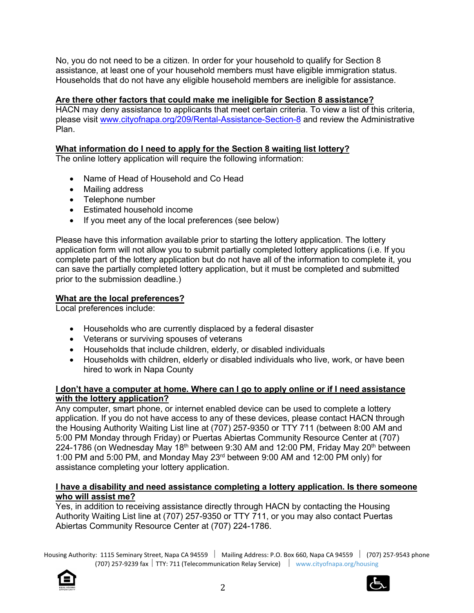No, you do not need to be a citizen. In order for your household to qualify for Section 8 assistance, at least one of your household members must have eligible immigration status. Households that do not have any eligible household members are ineligible for assistance.

# **Are there other factors that could make me ineligible for Section 8 assistance?**

HACN may deny assistance to applicants that meet certain criteria. To view a list of this criteria, please visit www.cityofnapa.org/209/Rental-Assistance-Section-8 and review the Administrative Plan.

# **What information do I need to apply for the Section 8 waiting list lottery?**

The online lottery application will require the following information:

- Name of Head of Household and Co Head
- Mailing address
- Telephone number
- Estimated household income
- If you meet any of the local preferences (see below)

Please have this information available prior to starting the lottery application. The lottery application form will not allow you to submit partially completed lottery applications (i.e. If you complete part of the lottery application but do not have all of the information to complete it, you can save the partially completed lottery application, but it must be completed and submitted prior to the submission deadline.)

## **What are the local preferences?**

Local preferences include:

- Households who are currently displaced by a federal disaster
- Veterans or surviving spouses of veterans
- Households that include children, elderly, or disabled individuals
- Households with children, elderly or disabled individuals who live, work, or have been hired to work in Napa County

## **I don't have a computer at home. Where can I go to apply online or if I need assistance with the lottery application?**

Any computer, smart phone, or internet enabled device can be used to complete a lottery application. If you do not have access to any of these devices, please contact HACN through the Housing Authority Waiting List line at (707) 257-9350 or TTY 711 (between 8:00 AM and 5:00 PM Monday through Friday) or Puertas Abiertas Community Resource Center at (707) 224-1786 (on Wednesday May  $18<sup>th</sup>$  between 9:30 AM and 12:00 PM, Friday May 20<sup>th</sup> between 1:00 PM and 5:00 PM, and Monday May 23rd between 9:00 AM and 12:00 PM only) for assistance completing your lottery application.

## **I have a disability and need assistance completing a lottery application. Is there someone who will assist me?**

Yes, in addition to receiving assistance directly through HACN by contacting the Housing Authority Waiting List line at (707) 257-9350 or TTY 711, or you may also contact Puertas Abiertas Community Resource Center at (707) 224-1786.



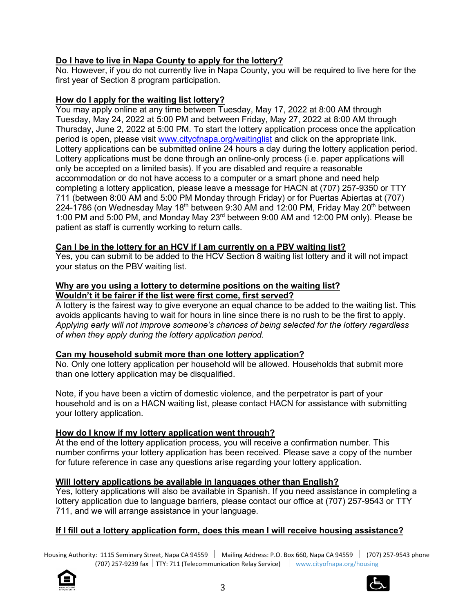# **Do I have to live in Napa County to apply for the lottery?**

No. However, if you do not currently live in Napa County, you will be required to live here for the first year of Section 8 program participation.

# **How do I apply for the waiting list lottery?**

You may apply online at any time between Tuesday, May 17, 2022 at 8:00 AM through Tuesday, May 24, 2022 at 5:00 PM and between Friday, May 27, 2022 at 8:00 AM through Thursday, June 2, 2022 at 5:00 PM. To start the lottery application process once the application period is open, please visit www.cityofnapa.org/waitinglist and click on the appropriate link. Lottery applications can be submitted online 24 hours a day during the lottery application period. Lottery applications must be done through an online-only process (i.e. paper applications will only be accepted on a limited basis). If you are disabled and require a reasonable accommodation or do not have access to a computer or a smart phone and need help completing a lottery application, please leave a message for HACN at (707) 257-9350 or TTY 711 (between 8:00 AM and 5:00 PM Monday through Friday) or for Puertas Abiertas at (707) 224-1786 (on Wednesday May 18<sup>th</sup> between 9:30 AM and 12:00 PM, Friday May 20<sup>th</sup> between 1:00 PM and 5:00 PM, and Monday May 23rd between 9:00 AM and 12:00 PM only). Please be patient as staff is currently working to return calls.

## **Can I be in the lottery for an HCV if I am currently on a PBV waiting list?**

Yes, you can submit to be added to the HCV Section 8 waiting list lottery and it will not impact your status on the PBV waiting list.

#### **Why are you using a lottery to determine positions on the waiting list? Wouldn't it be fairer if the list were first come, first served?**

A lottery is the fairest way to give everyone an equal chance to be added to the waiting list. This avoids applicants having to wait for hours in line since there is no rush to be the first to apply. *Applying early will not improve someone's chances of being selected for the lottery regardless of when they apply during the lottery application period.* 

# **Can my household submit more than one lottery application?**

No. Only one lottery application per household will be allowed. Households that submit more than one lottery application may be disqualified.

Note, if you have been a victim of domestic violence, and the perpetrator is part of your household and is on a HACN waiting list, please contact HACN for assistance with submitting your lottery application.

# **How do I know if my lottery application went through?**

At the end of the lottery application process, you will receive a confirmation number. This number confirms your lottery application has been received. Please save a copy of the number for future reference in case any questions arise regarding your lottery application.

## **Will lottery applications be available in languages other than English?**

Yes, lottery applications will also be available in Spanish. If you need assistance in completing a lottery application due to language barriers, please contact our office at (707) 257-9543 or TTY 711, and we will arrange assistance in your language.

# **If I fill out a lottery application form, does this mean I will receive housing assistance?**



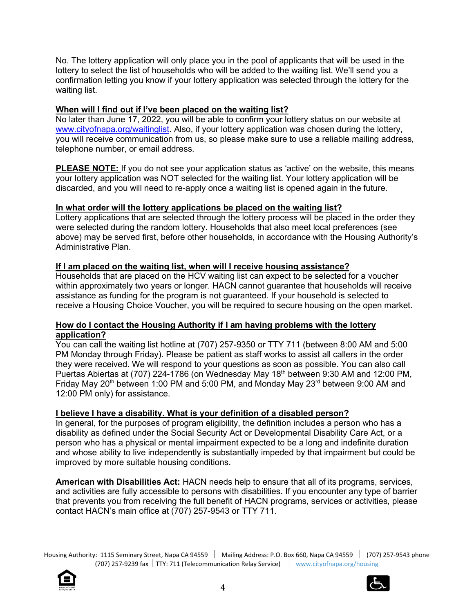No. The lottery application will only place you in the pool of applicants that will be used in the lottery to select the list of households who will be added to the waiting list. We'll send you a confirmation letting you know if your lottery application was selected through the lottery for the waiting list.

## **When will I find out if I've been placed on the waiting list?**

No later than June 17, 2022, you will be able to confirm your lottery status on our website at www.cityofnapa.org/waitinglist. Also, if your lottery application was chosen during the lottery, you will receive communication from us, so please make sure to use a reliable mailing address, telephone number, or email address.

**PLEASE NOTE:** If you do not see your application status as 'active' on the website, this means your lottery application was NOT selected for the waiting list. Your lottery application will be discarded, and you will need to re-apply once a waiting list is opened again in the future.

## **In what order will the lottery applications be placed on the waiting list?**

Lottery applications that are selected through the lottery process will be placed in the order they were selected during the random lottery. Households that also meet local preferences (see above) may be served first, before other households, in accordance with the Housing Authority's Administrative Plan.

## **If I am placed on the waiting list, when will I receive housing assistance?**

Households that are placed on the HCV waiting list can expect to be selected for a voucher within approximately two years or longer. HACN cannot guarantee that households will receive assistance as funding for the program is not guaranteed. If your household is selected to receive a Housing Choice Voucher, you will be required to secure housing on the open market.

## **How do I contact the Housing Authority if I am having problems with the lottery application?**

You can call the waiting list hotline at (707) 257-9350 or TTY 711 (between 8:00 AM and 5:00 PM Monday through Friday). Please be patient as staff works to assist all callers in the order they were received. We will respond to your questions as soon as possible. You can also call Puertas Abiertas at (707) 224-1786 (on Wednesday May 18<sup>th</sup> between 9:30 AM and 12:00 PM, Friday May 20<sup>th</sup> between 1:00 PM and 5:00 PM, and Monday May 23<sup>rd</sup> between 9:00 AM and 12:00 PM only) for assistance.

## **I believe I have a disability. What is your definition of a disabled person?**

In general, for the purposes of program eligibility, the definition includes a person who has a disability as defined under the Social Security Act or Developmental Disability Care Act, or a person who has a physical or mental impairment expected to be a long and indefinite duration and whose ability to live independently is substantially impeded by that impairment but could be improved by more suitable housing conditions.

**American with Disabilities Act:** HACN needs help to ensure that all of its programs, services, and activities are fully accessible to persons with disabilities. If you encounter any type of barrier that prevents you from receiving the full benefit of HACN programs, services or activities, please contact HACN's main office at (707) 257-9543 or TTY 711.